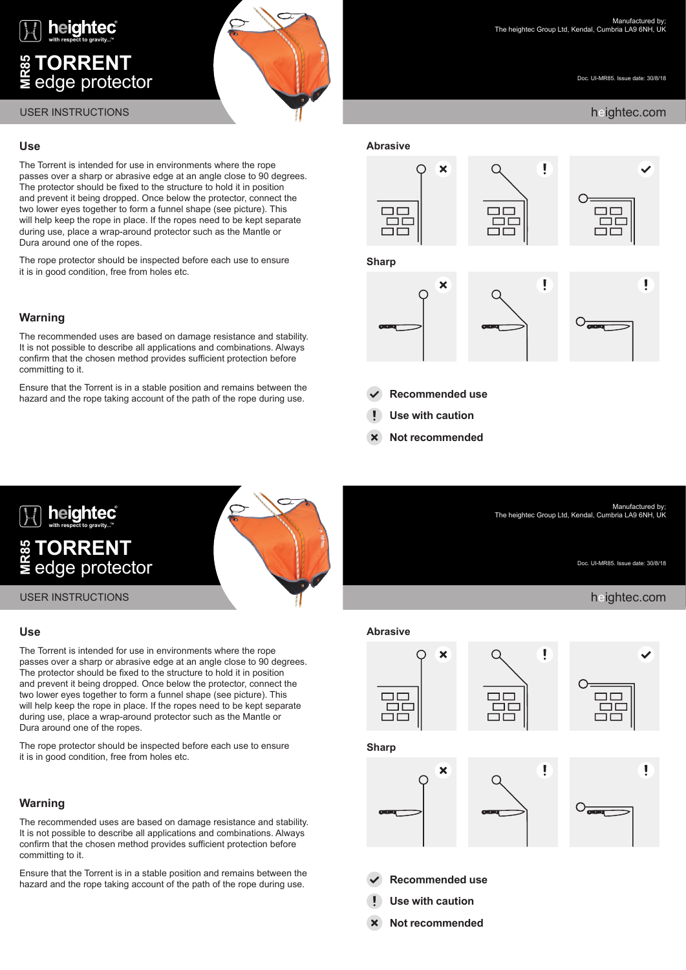

# **TORRENT**  $\equiv$  edge protector



Doc. UI-MR85. Issue date: 30/8/18

Manufactured by;

Doc. UI-MR85. Issue date: 30/8/18

The heightec Group Ltd, Kendal, Cumbria LA9 6NH, UK

# **Use**

The Torrent is intended for use in environments where the rope passes over a sharp or abrasive edge at an angle close to 90 degrees. The protector should be fixed to the structure to hold it in position and prevent it being dropped. Once below the protector, connect the two lower eyes together to form a funnel shape (see picture). This will help keep the rope in place. If the ropes need to be kept separate during use, place a wrap-around protector such as the Mantle or Dura around one of the ropes.

The rope protector should be inspected before each use to ensure it is in good condition, free from holes etc.

# **Warning**

The recommended uses are based on damage resistance and stability. It is not possible to describe all applications and combinations. Always confirm that the chosen method provides sufficient protection before committing to it.

Ensure that the Torrent is in a stable position and remains between the hazard and the rope taking account of the path of the rope during use.



**Recommended use**

- **Use with caution**
- **Not recommended**



## **Use**

The Torrent is intended for use in environments where the rope passes over a sharp or abrasive edge at an angle close to 90 degrees. The protector should be fixed to the structure to hold it in position and prevent it being dropped. Once below the protector, connect the two lower eyes together to form a funnel shape (see picture). This will help keep the rope in place. If the ropes need to be kept separate during use, place a wrap-around protector such as the Mantle or Dura around one of the ropes.

The rope protector should be inspected before each use to ensure it is in good condition, free from holes etc.

# **Warning**

The recommended uses are based on damage resistance and stability. It is not possible to describe all applications and combinations. Always confirm that the chosen method provides sufficient protection before committing to it.

Ensure that the Torrent is in a stable position and remains between the hazard and the rope taking account of the path of the rope during use.



- **Recommended use**
- **Use with caution**
- **X** Not recommended